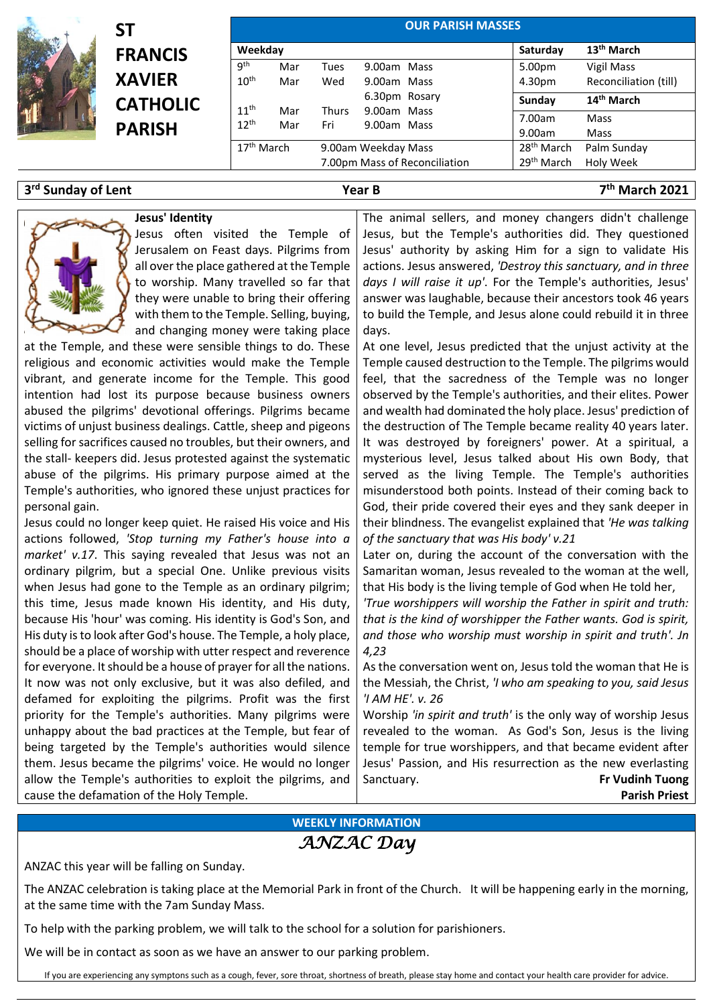

# **ST FRANCIS XAVIER CATHOLIC PARISH**

| Weekday                |     |                               |               | Saturday               | 13 <sup>th</sup> March |
|------------------------|-----|-------------------------------|---------------|------------------------|------------------------|
| gth                    | Mar | Tues                          | 9.00am Mass   | 5.00pm                 | Vigil Mass             |
| 10 <sup>th</sup>       | Mar | Wed                           | 9.00am Mass   | 4.30pm                 | Reconciliation (till)  |
|                        |     |                               | 6.30pm Rosary | Sunday                 | 14 <sup>th</sup> March |
| 11 <sup>th</sup>       | Mar | <b>Thurs</b>                  | 9.00am Mass   |                        |                        |
| 12 <sup>th</sup>       | Mar | Fri                           | 9.00am Mass   | 7.00am                 | Mass                   |
|                        |     |                               |               | 9.00am                 | Mass                   |
| 17 <sup>th</sup> March |     | 9.00am Weekday Mass           |               | 28 <sup>th</sup> March | Palm Sunday            |
|                        |     | 7.00pm Mass of Reconciliation |               | 29 <sup>th</sup> March | Holy Week              |

### **3 rd Sunday of Lent Year B 7**

**th March 2021**

### **Jesus' Identity**



Jesus often visited the Temple of Jerusalem on Feast days. Pilgrims from all over the place gathered at the Temple to worship. Many travelled so far that they were unable to bring their offering with them to the Temple. Selling, buying, and changing money were taking place

at the Temple, and these were sensible things to do. These religious and economic activities would make the Temple vibrant, and generate income for the Temple. This good intention had lost its purpose because business owners abused the pilgrims' devotional offerings. Pilgrims became victims of unjust business dealings. Cattle, sheep and pigeons selling for sacrifices caused no troubles, but their owners, and the stall- keepers did. Jesus protested against the systematic abuse of the pilgrims. His primary purpose aimed at the Temple's authorities, who ignored these unjust practices for personal gain.

Jesus could no longer keep quiet. He raised His voice and His actions followed, *'Stop turning my Father's house into a market' v.17*. This saying revealed that Jesus was not an ordinary pilgrim, but a special One. Unlike previous visits when Jesus had gone to the Temple as an ordinary pilgrim; this time, Jesus made known His identity, and His duty, because His 'hour' was coming. His identity is God's Son, and His duty is to look after God's house. The Temple, a holy place, should be a place of worship with utter respect and reverence for everyone. It should be a house of prayer for all the nations. It now was not only exclusive, but it was also defiled, and defamed for exploiting the pilgrims. Profit was the first priority for the Temple's authorities. Many pilgrims were unhappy about the bad practices at the Temple, but fear of being targeted by the Temple's authorities would silence them. Jesus became the pilgrims' voice. He would no longer allow the Temple's authorities to exploit the pilgrims, and cause the defamation of the Holy Temple.

The animal sellers, and money changers didn't challenge Jesus, but the Temple's authorities did. They questioned Jesus' authority by asking Him for a sign to validate His actions. Jesus answered, *'Destroy this sanctuary, and in three days I will raise it up'*. For the Temple's authorities, Jesus' answer was laughable, because their ancestors took 46 years to build the Temple, and Jesus alone could rebuild it in three days.

At one level, Jesus predicted that the unjust activity at the Temple caused destruction to the Temple. The pilgrims would feel, that the sacredness of the Temple was no longer observed by the Temple's authorities, and their elites. Power and wealth had dominated the holy place. Jesus' prediction of the destruction of The Temple became reality 40 years later. It was destroyed by foreigners' power. At a spiritual, a mysterious level, Jesus talked about His own Body, that served as the living Temple. The Temple's authorities misunderstood both points. Instead of their coming back to God, their pride covered their eyes and they sank deeper in their blindness. The evangelist explained that *'He was talking of the sanctuary that was His body' v.21* 

Later on, during the account of the conversation with the Samaritan woman, Jesus revealed to the woman at the well, that His body is the living temple of God when He told her,

*'True worshippers will worship the Father in spirit and truth: that is the kind of worshipper the Father wants. God is spirit, and those who worship must worship in spirit and truth'. Jn 4,23* 

As the conversation went on, Jesus told the woman that He is the Messiah, the Christ, *'I who am speaking to you, said Jesus 'I AM HE'. v. 26*

Worship *'in spirit and truth'* is the only way of worship Jesus revealed to the woman. As God's Son, Jesus is the living temple for true worshippers, and that became evident after Jesus' Passion, and His resurrection as the new everlasting Sanctuary. **Fr Vudinh Tuong Parish Priest**

## **WEEKLY INFORMATION** *ANZAC Day*

ANZAC this year will be falling on Sunday.

The ANZAC celebration is taking place at the Memorial Park in front of the Church. It will be happening early in the morning, at the same time with the 7am Sunday Mass.

To help with the parking problem, we will talk to the school for a solution for parishioners.

We will be in contact as soon as we have an answer to our parking problem.

If you are experiencing any symptons such as a cough, fever, sore throat, shortness of breath, please stay home and contact your health care provider for advice.